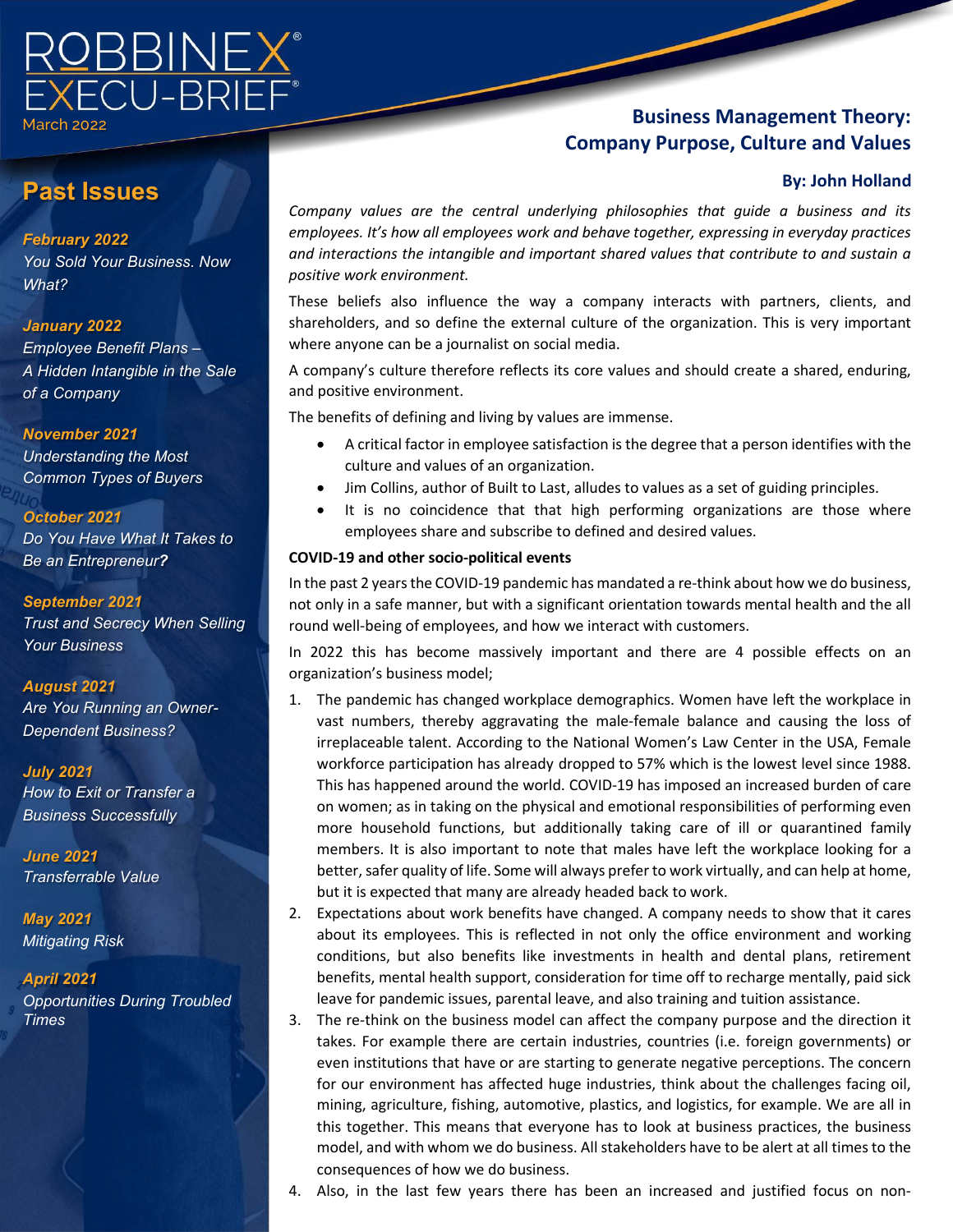

# **Past Issues**

#### *February 2022*

*You Sold Your Business. Now What?*

#### *January 2022*

*Employee Benefit Plans – A Hidden Intangible in the Sale of a Company*

#### *November 2021*

*Understanding the Most Common Types of Buyers*

#### *October 2021*

*Do You Have What It Takes to Be an Entrepreneur?* 

#### *September 2021*

*Trust and Secrecy When Selling Your Business*

### *August 2021*

*Are You Running an Owner-Dependent Business?*

#### *July 2021*

*How to Exit or Transfer a Business Successfully*

*June 2021 Transferrable Value*

*May 2021 Mitigating Risk*

### *April 2021*

*Opportunities During Troubled Times*

# **Business Management Theory: Company Purpose, Culture and Values**

#### **By: John Holland**

*Company values are the central underlying philosophies that guide a business and its employees. It's how all employees work and behave together, expressing in everyday practices and interactions the intangible and important shared values that contribute to and sustain a positive work environment.*

These beliefs also influence the way a company interacts with partners, clients, and shareholders, and so define the external culture of the organization. This is very important where anyone can be a journalist on social media.

A company's culture therefore reflects its core values and should create a shared, enduring, and positive environment.

The benefits of defining and living by values are immense.

- A critical factor in employee satisfaction is the degree that a person identifies with the culture and values of an organization.
- Jim Collins, author of Built to Last, alludes to values as a set of guiding principles.
- It is no coincidence that that high performing organizations are those where employees share and subscribe to defined and desired values.

#### **COVID-19 and other socio-political events**

In the past 2 years the COVID-19 pandemic has mandated a re-think about how we do business, not only in a safe manner, but with a significant orientation towards mental health and the all round well-being of employees, and how we interact with customers.

In 2022 this has become massively important and there are 4 possible effects on an organization's business model;

- 1. The pandemic has changed workplace demographics. Women have left the workplace in vast numbers, thereby aggravating the male-female balance and causing the loss of irreplaceable talent. According to the National Women's Law Center in the USA, Female workforce participation has already dropped to 57% which is the lowest level since 1988. This has happened around the world. COVID-19 has imposed an increased burden of care on women; as in taking on the physical and emotional responsibilities of performing even more household functions, but additionally taking care of ill or quarantined family members. It is also important to note that males have left the workplace looking for a better, safer quality of life. Some will always prefer to work virtually, and can help at home, but it is expected that many are already headed back to work.
- 2. Expectations about work benefits have changed. A company needs to show that it cares about its employees. This is reflected in not only the office environment and working conditions, but also benefits like investments in health and dental plans, retirement benefits, mental health support, consideration for time off to recharge mentally, paid sick leave for pandemic issues, parental leave, and also training and tuition assistance.
- 3. The re-think on the business model can affect the company purpose and the direction it takes. For example there are certain industries, countries (i.e. foreign governments) or even institutions that have or are starting to generate negative perceptions. The concern for our environment has affected huge industries, think about the challenges facing oil, mining, agriculture, fishing, automotive, plastics, and logistics, for example. We are all in this together. This means that everyone has to look at business practices, the business model, and with whom we do business. All stakeholders have to be alert at all times to the consequences of how we do business.
- 4. Also, in the last few years there has been an increased and justified focus on non-